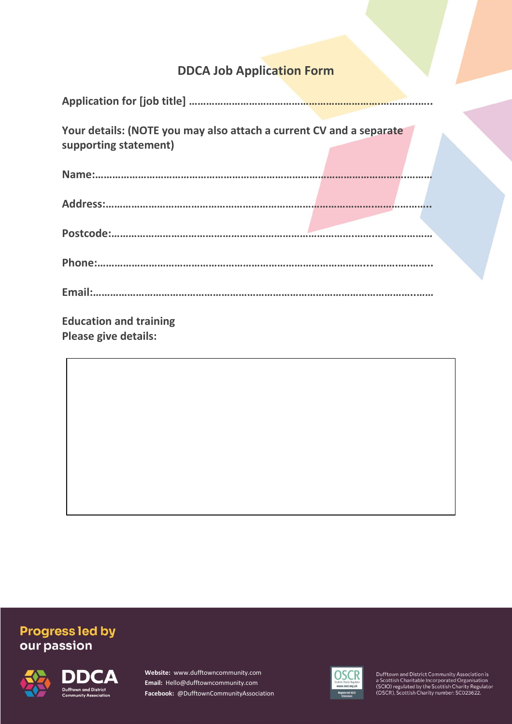# **DDCA Job Application Form**

| Your details: (NOTE you may also attach a current CV and a separate<br>supporting statement) |  |
|----------------------------------------------------------------------------------------------|--|
|                                                                                              |  |
|                                                                                              |  |
|                                                                                              |  |
|                                                                                              |  |
|                                                                                              |  |
| <b>Education and training</b><br><b>Please give details:</b>                                 |  |

## **Progress led by** our passion



**Website:** www.dufftowncommunity.com **Email:** Hello@dufftowncommunity.com **Facebook:** @DufftownCommunityAssociation

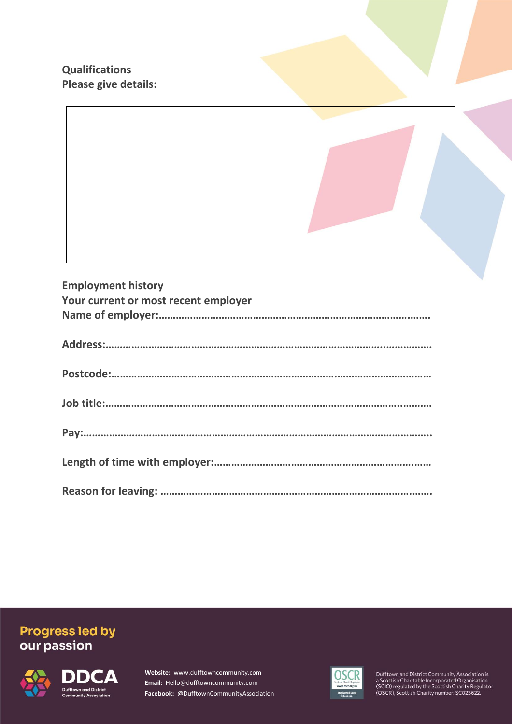**Qualifications Please give details:**

| <b>Employment history</b><br>Your current or most recent employer |
|-------------------------------------------------------------------|
|                                                                   |
|                                                                   |
|                                                                   |
|                                                                   |
|                                                                   |
|                                                                   |

# **Progress led by<br>our passion**



**Website:** www.dufftowncommunity.com **Email:** Hello@dufftowncommunity.com **Facebook:** @DufftownCommunityAssociation

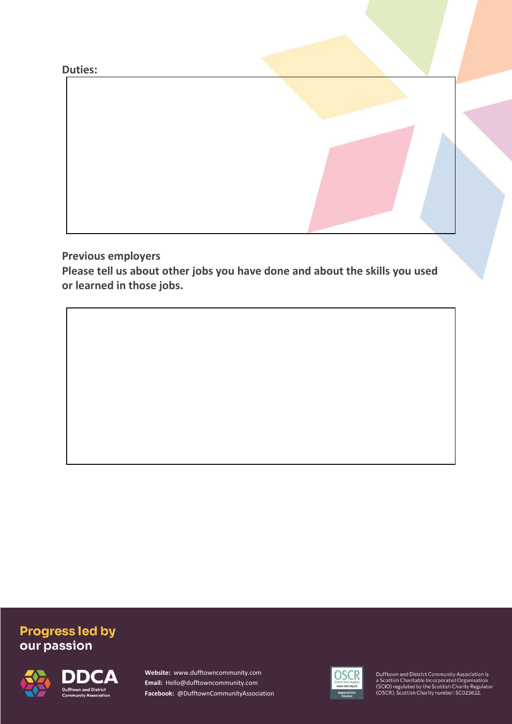**Duties:** 

**Previous employers**

**Please tell us about other jobs you have done and about the skills you used or learned in those jobs.**

# **Progress led by** our passion



**Website:** www.dufftowncommunity.com **Email:** Hello@dufftowncommunity.com **Facebook:** @DufftownCommunityAssociation

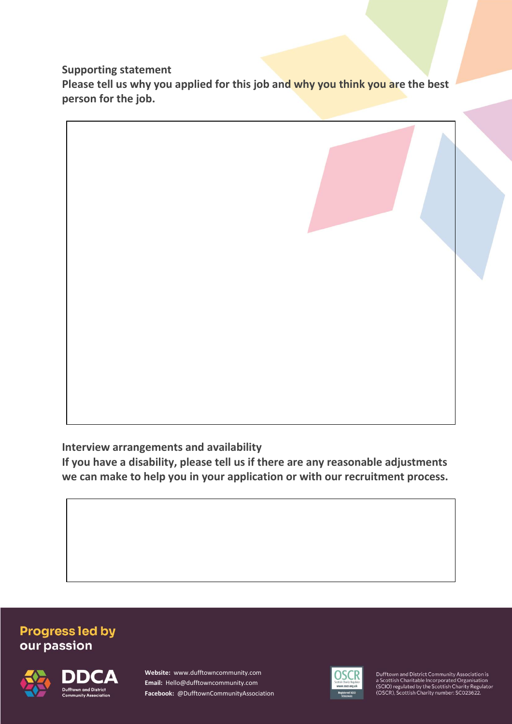**Supporting statement**

**Please tell us why you applied for this job and why you think you are the best person for the job.**



**Interview arrangements and availability**

**If you have a disability, please tell us if there are any reasonable adjustments we can make to help you in your application or with our recruitment process.**

#### **Progress led by** our passion



**Website:** www.dufftowncommunity.com **Email:** Hello@dufftowncommunity.com **Facebook:** @DufftownCommunityAssociation

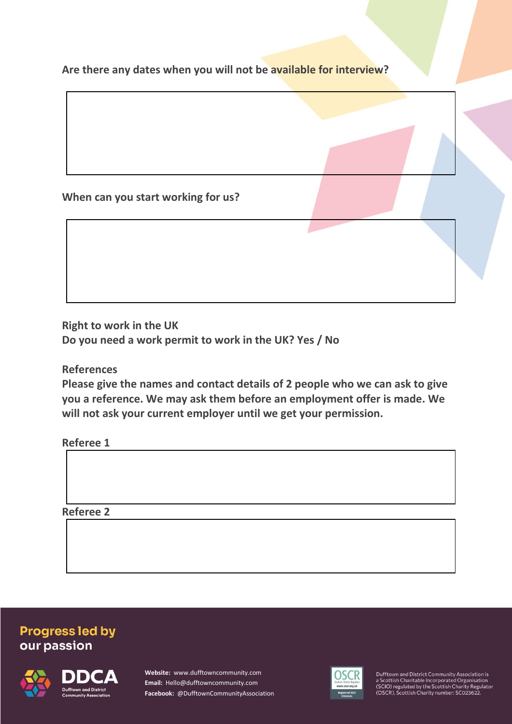**Are there any dates when you will not be available for interview?**

**When can you start working for us?**

**Right to work in the UK Do you need a work permit to work in the UK? Yes / No**

**References**

**Please give the names and contact details of 2 people who we can ask to give you a reference. We may ask them before an employment offer is made. We will not ask your current employer until we get your permission.** 

**Referee 1**

**Referee 2**

## **Progress led by** our passion



**Website:** www.dufftowncommunity.com **Email:** Hello@dufftowncommunity.com **Facebook:** @DufftownCommunityAssociation